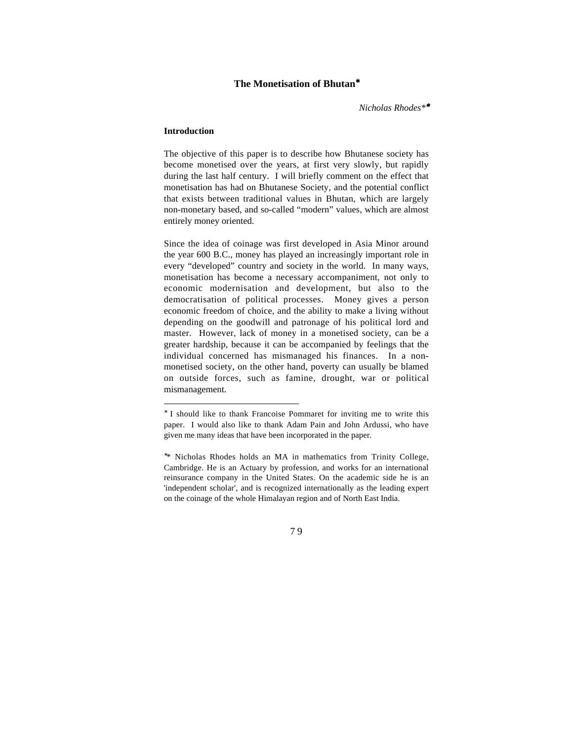### **The Monetisation of Bhutan**<sup>∗</sup>

*Nicholas Rhodes\**<sup>∗</sup>

### **Introduction**

l

The objective of this paper is to describe how Bhutanese society has become monetised over the years, at first very slowly, but rapidly during the last half century. I will briefly comment on the effect that monetisation has had on Bhutanese Society, and the potential conflict that exists between traditional values in Bhutan, which are largely non-monetary based, and so-called "modern" values, which are almost entirely money oriented.

Since the idea of coinage was first developed in Asia Minor around the year 600 B.C., money has played an increasingly important role in every "developed" country and society in the world. In many ways, monetisation has become a necessary accompaniment, not only to economic modernisation and development, but also to the democratisation of political processes. Money gives a person economic freedom of choice, and the ability to make a living without depending on the goodwill and patronage of his political lord and master. However, lack of money in a monetised society, can be a greater hardship, because it can be accompanied by feelings that the individual concerned has mismanaged his finances. In a nonmonetised society, on the other hand, poverty can usually be blamed on outside forces, such as famine, drought, war or political mismanagement.

<sup>∗</sup> \* Nicholas Rhodes holds an MA in mathematics from Trinity College, Cambridge. He is an Actuary by profession, and works for an international reinsurance company in the United States. On the academic side he is an 'independent scholar', and is recognized internationally as the leading expert on the coinage of the whole Himalayan region and of North East India.



<sup>∗</sup> I should like to thank Francoise Pommaret for inviting me to write this paper. I would also like to thank Adam Pain and John Ardussi, who have given me many ideas that have been incorporated in the paper.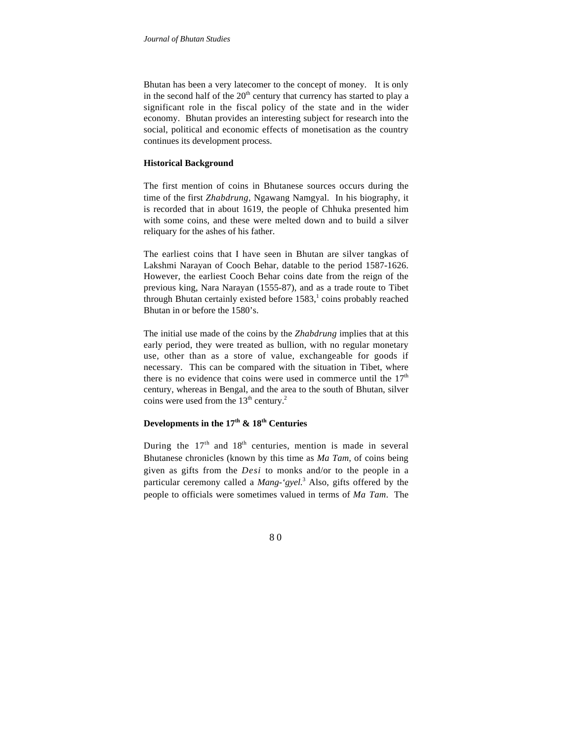Bhutan has been a very latecomer to the concept of money. It is only in the second half of the  $20<sup>th</sup>$  century that currency has started to play a significant role in the fiscal policy of the state and in the wider economy. Bhutan provides an interesting subject for research into the social, political and economic effects of monetisation as the country continues its development process.

### **Historical Background**

The first mention of coins in Bhutanese sources occurs during the time of the first *Zhabdrung*, Ngawang Namgyal. In his biography, it is recorded that in about 1619, the people of Chhuka presented him with some coins, and these were melted down and to build a silver reliquary for the ashes of his father.

The earliest coins that I have seen in Bhutan are silver tangkas of Lakshmi Narayan of Cooch Behar, datable to the period 1587-1626. However, the earliest Cooch Behar coins date from the reign of the previous king, Nara Narayan (1555-87), and as a trade route to Tibet through Bhutan certainly existed before  $1583$ , coins probably reached Bhutan in or before the 1580's.

The initial use made of the coins by the *Zhabdrung* implies that at this early period, they were treated as bullion, with no regular monetary use, other than as a store of value, exchangeable for goods if necessary. This can be compared with the situation in Tibet, where there is no evidence that coins were used in commerce until the  $17<sup>th</sup>$ century, whereas in Bengal, and the area to the south of Bhutan, silver coins were used from the  $13<sup>th</sup>$  century.<sup>2</sup>

# **Developments in the 17th & 18th Centuries**

During the  $17<sup>th</sup>$  and  $18<sup>th</sup>$  centuries, mention is made in several Bhutanese chronicles (known by this time as *Ma Tam*, of coins being given as gifts from the *Desi* to monks and/or to the people in a particular ceremony called a *Mang-'gyel.*<sup>3</sup> Also, gifts offered by the people to officials were sometimes valued in terms of *Ma Tam*. The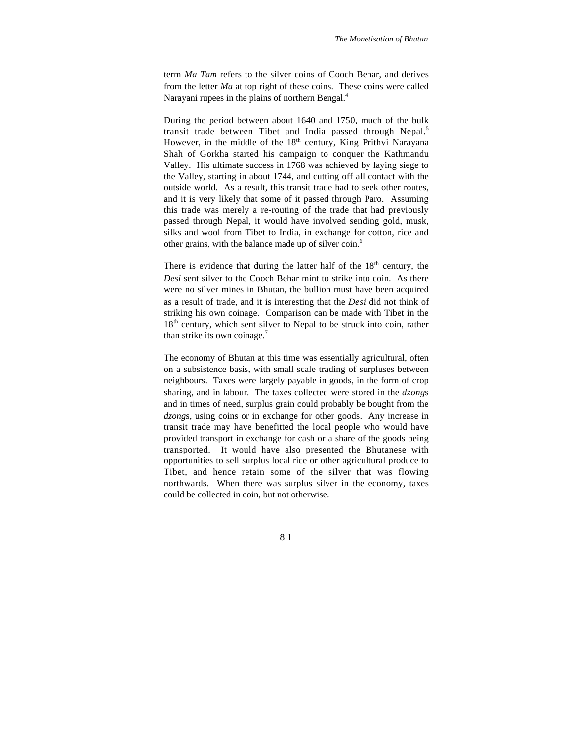term *Ma Tam* refers to the silver coins of Cooch Behar, and derives from the letter *Ma* at top right of these coins. These coins were called Narayani rupees in the plains of northern Bengal.<sup>4</sup>

During the period between about 1640 and 1750, much of the bulk transit trade between Tibet and India passed through Nepal.<sup>5</sup> However, in the middle of the 18<sup>th</sup> century, King Prithvi Narayana Shah of Gorkha started his campaign to conquer the Kathmandu Valley. His ultimate success in 1768 was achieved by laying siege to the Valley, starting in about 1744, and cutting off all contact with the outside world. As a result, this transit trade had to seek other routes, and it is very likely that some of it passed through Paro. Assuming this trade was merely a re-routing of the trade that had previously passed through Nepal, it would have involved sending gold, musk, silks and wool from Tibet to India, in exchange for cotton, rice and other grains, with the balance made up of silver coin.6

There is evidence that during the latter half of the  $18<sup>th</sup>$  century, the *Desi* sent silver to the Cooch Behar mint to strike into coin. As there were no silver mines in Bhutan, the bullion must have been acquired as a result of trade, and it is interesting that the *Desi* did not think of striking his own coinage. Comparison can be made with Tibet in the 18<sup>th</sup> century, which sent silver to Nepal to be struck into coin, rather than strike its own coinage.<sup>7</sup>

The economy of Bhutan at this time was essentially agricultural, often on a subsistence basis, with small scale trading of surpluses between neighbours. Taxes were largely payable in goods, in the form of crop sharing, and in labour. The taxes collected were stored in the *dzong*s and in times of need, surplus grain could probably be bought from the *dzong*s, using coins or in exchange for other goods. Any increase in transit trade may have benefitted the local people who would have provided transport in exchange for cash or a share of the goods being transported. It would have also presented the Bhutanese with opportunities to sell surplus local rice or other agricultural produce to Tibet, and hence retain some of the silver that was flowing northwards. When there was surplus silver in the economy, taxes could be collected in coin, but not otherwise.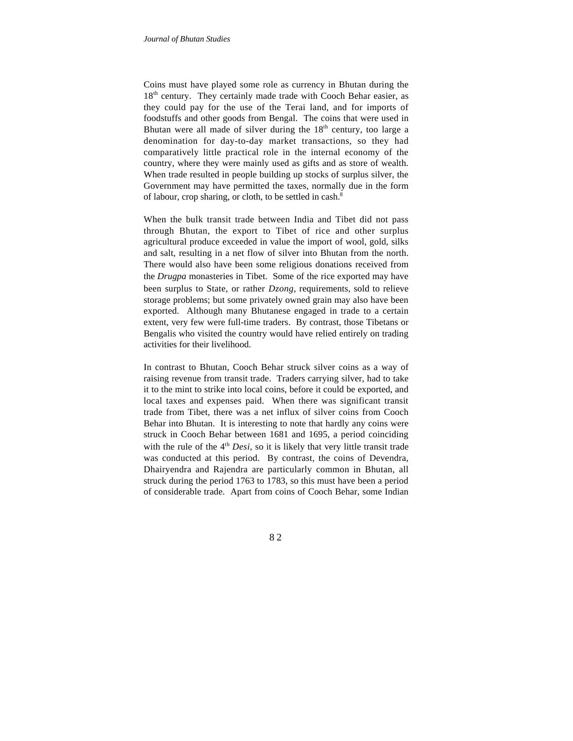Coins must have played some role as currency in Bhutan during the 18<sup>th</sup> century. They certainly made trade with Cooch Behar easier, as they could pay for the use of the Terai land, and for imports of foodstuffs and other goods from Bengal. The coins that were used in Bhutan were all made of silver during the  $18<sup>th</sup>$  century, too large a denomination for day-to-day market transactions, so they had comparatively little practical role in the internal economy of the country, where they were mainly used as gifts and as store of wealth. When trade resulted in people building up stocks of surplus silver, the Government may have permitted the taxes, normally due in the form of labour, crop sharing, or cloth, to be settled in cash.8

When the bulk transit trade between India and Tibet did not pass through Bhutan, the export to Tibet of rice and other surplus agricultural produce exceeded in value the import of wool, gold, silks and salt, resulting in a net flow of silver into Bhutan from the north. There would also have been some religious donations received from the *Drugpa* monasteries in Tibet. Some of the rice exported may have been surplus to State, or rather *Dzong*, requirements, sold to relieve storage problems; but some privately owned grain may also have been exported. Although many Bhutanese engaged in trade to a certain extent, very few were full-time traders. By contrast, those Tibetans or Bengalis who visited the country would have relied entirely on trading activities for their livelihood.

In contrast to Bhutan, Cooch Behar struck silver coins as a way of raising revenue from transit trade. Traders carrying silver, had to take it to the mint to strike into local coins, before it could be exported, and local taxes and expenses paid. When there was significant transit trade from Tibet, there was a net influx of silver coins from Cooch Behar into Bhutan. It is interesting to note that hardly any coins were struck in Cooch Behar between 1681 and 1695, a period coinciding with the rule of the  $4<sup>th</sup> Desi$ , so it is likely that very little transit trade was conducted at this period. By contrast, the coins of Devendra, Dhairyendra and Rajendra are particularly common in Bhutan, all struck during the period 1763 to 1783, so this must have been a period of considerable trade. Apart from coins of Cooch Behar, some Indian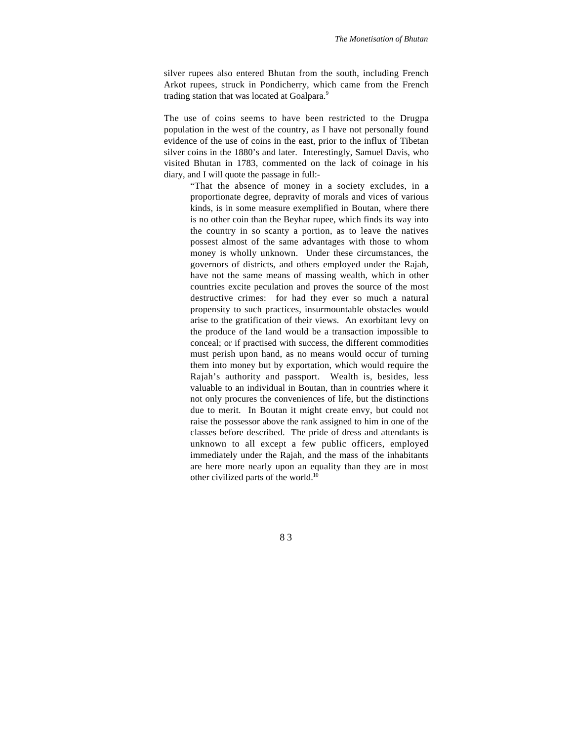silver rupees also entered Bhutan from the south, including French Arkot rupees, struck in Pondicherry, which came from the French trading station that was located at Goalpara.<sup>9</sup>

The use of coins seems to have been restricted to the Drugpa population in the west of the country, as I have not personally found evidence of the use of coins in the east, prior to the influx of Tibetan silver coins in the 1880's and later. Interestingly, Samuel Davis, who visited Bhutan in 1783, commented on the lack of coinage in his diary, and I will quote the passage in full:-

"That the absence of money in a society excludes, in a proportionate degree, depravity of morals and vices of various kinds, is in some measure exemplified in Boutan, where there is no other coin than the Beyhar rupee, which finds its way into the country in so scanty a portion, as to leave the natives possest almost of the same advantages with those to whom money is wholly unknown. Under these circumstances, the governors of districts, and others employed under the Rajah, have not the same means of massing wealth, which in other countries excite peculation and proves the source of the most destructive crimes: for had they ever so much a natural propensity to such practices, insurmountable obstacles would arise to the gratification of their views. An exorbitant levy on the produce of the land would be a transaction impossible to conceal; or if practised with success, the different commodities must perish upon hand, as no means would occur of turning them into money but by exportation, which would require the Rajah's authority and passport. Wealth is, besides, less valuable to an individual in Boutan, than in countries where it not only procures the conveniences of life, but the distinctions due to merit. In Boutan it might create envy, but could not raise the possessor above the rank assigned to him in one of the classes before described. The pride of dress and attendants is unknown to all except a few public officers, employed immediately under the Rajah, and the mass of the inhabitants are here more nearly upon an equality than they are in most other civilized parts of the world.<sup>10</sup>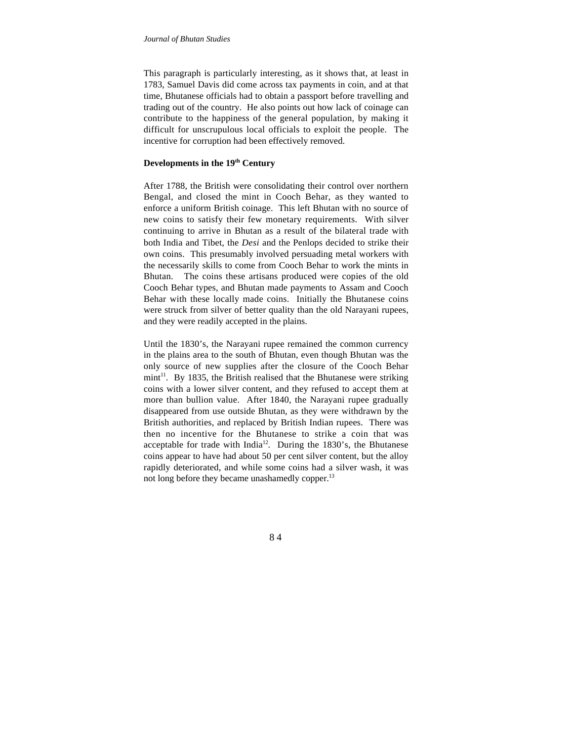This paragraph is particularly interesting, as it shows that, at least in 1783, Samuel Davis did come across tax payments in coin, and at that time, Bhutanese officials had to obtain a passport before travelling and trading out of the country. He also points out how lack of coinage can contribute to the happiness of the general population, by making it difficult for unscrupulous local officials to exploit the people. The incentive for corruption had been effectively removed.

### **Developments in the 19th Century**

After 1788, the British were consolidating their control over northern Bengal, and closed the mint in Cooch Behar, as they wanted to enforce a uniform British coinage. This left Bhutan with no source of new coins to satisfy their few monetary requirements. With silver continuing to arrive in Bhutan as a result of the bilateral trade with both India and Tibet, the *Desi* and the Penlops decided to strike their own coins. This presumably involved persuading metal workers with the necessarily skills to come from Cooch Behar to work the mints in Bhutan. The coins these artisans produced were copies of the old Cooch Behar types, and Bhutan made payments to Assam and Cooch Behar with these locally made coins. Initially the Bhutanese coins were struck from silver of better quality than the old Narayani rupees, and they were readily accepted in the plains.

Until the 1830's, the Narayani rupee remained the common currency in the plains area to the south of Bhutan, even though Bhutan was the only source of new supplies after the closure of the Cooch Behar  $min<sup>11</sup>$ . By 1835, the British realised that the Bhutanese were striking coins with a lower silver content, and they refused to accept them at more than bullion value. After 1840, the Narayani rupee gradually disappeared from use outside Bhutan, as they were withdrawn by the British authorities, and replaced by British Indian rupees. There was then no incentive for the Bhutanese to strike a coin that was acceptable for trade with India<sup>12</sup>. During the  $1830$ 's, the Bhutanese coins appear to have had about 50 per cent silver content, but the alloy rapidly deteriorated, and while some coins had a silver wash, it was not long before they became unashamedly copper.<sup>13</sup>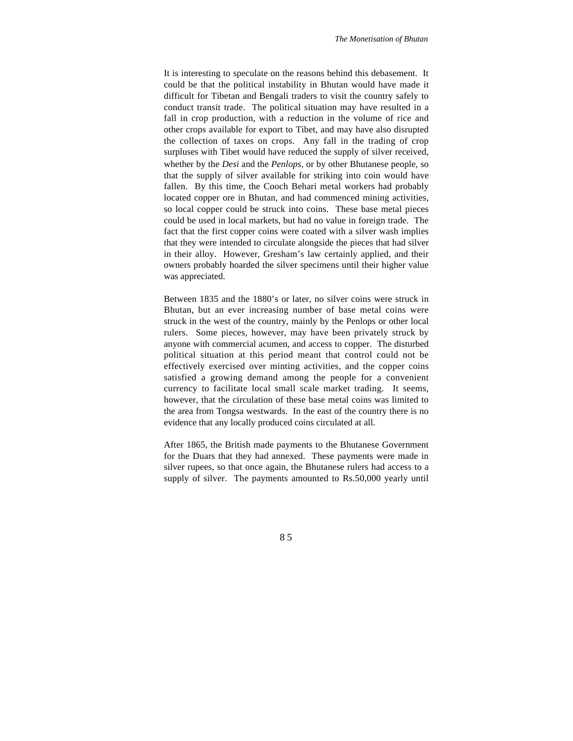It is interesting to speculate on the reasons behind this debasement. It could be that the political instability in Bhutan would have made it difficult for Tibetan and Bengali traders to visit the country safely to conduct transit trade. The political situation may have resulted in a fall in crop production, with a reduction in the volume of rice and other crops available for export to Tibet, and may have also disrupted the collection of taxes on crops. Any fall in the trading of crop surpluses with Tibet would have reduced the supply of silver received, whether by the *Desi* and the *Penlops*, or by other Bhutanese people, so that the supply of silver available for striking into coin would have fallen. By this time, the Cooch Behari metal workers had probably located copper ore in Bhutan, and had commenced mining activities, so local copper could be struck into coins. These base metal pieces could be used in local markets, but had no value in foreign trade. The fact that the first copper coins were coated with a silver wash implies that they were intended to circulate alongside the pieces that had silver in their alloy. However, Gresham's law certainly applied, and their owners probably hoarded the silver specimens until their higher value was appreciated.

Between 1835 and the 1880's or later, no silver coins were struck in Bhutan, but an ever increasing number of base metal coins were struck in the west of the country, mainly by the Penlops or other local rulers. Some pieces, however, may have been privately struck by anyone with commercial acumen, and access to copper. The disturbed political situation at this period meant that control could not be effectively exercised over minting activities, and the copper coins satisfied a growing demand among the people for a convenient currency to facilitate local small scale market trading. It seems, however, that the circulation of these base metal coins was limited to the area from Tongsa westwards. In the east of the country there is no evidence that any locally produced coins circulated at all.

After 1865, the British made payments to the Bhutanese Government for the Duars that they had annexed. These payments were made in silver rupees, so that once again, the Bhutanese rulers had access to a supply of silver. The payments amounted to Rs.50,000 yearly until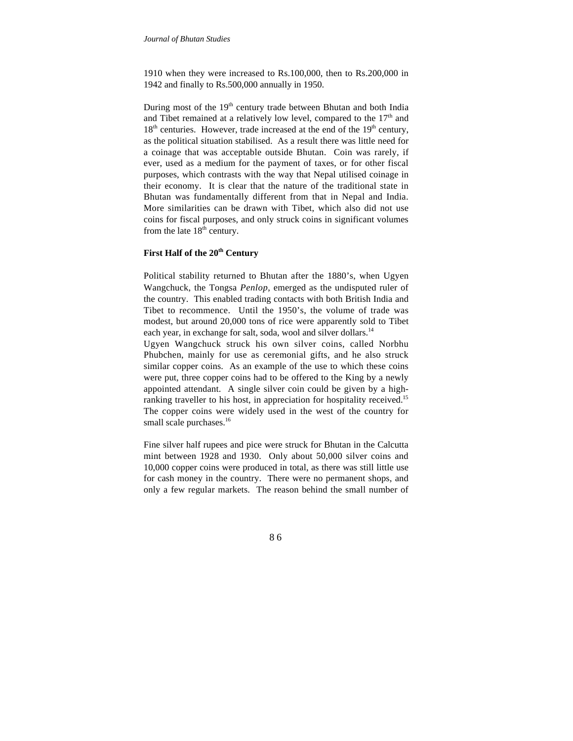1910 when they were increased to Rs.100,000, then to Rs.200,000 in 1942 and finally to Rs.500,000 annually in 1950.

During most of the  $19<sup>th</sup>$  century trade between Bhutan and both India and Tibet remained at a relatively low level, compared to the  $17<sup>th</sup>$  and  $18<sup>th</sup>$  centuries. However, trade increased at the end of the  $19<sup>th</sup>$  century, as the political situation stabilised. As a result there was little need for a coinage that was acceptable outside Bhutan. Coin was rarely, if ever, used as a medium for the payment of taxes, or for other fiscal purposes, which contrasts with the way that Nepal utilised coinage in their economy. It is clear that the nature of the traditional state in Bhutan was fundamentally different from that in Nepal and India. More similarities can be drawn with Tibet, which also did not use coins for fiscal purposes, and only struck coins in significant volumes from the late  $18<sup>th</sup>$  century.

## **First Half of the 20th Century**

Political stability returned to Bhutan after the 1880's, when Ugyen Wangchuck, the Tongsa *Penlop*, emerged as the undisputed ruler of the country. This enabled trading contacts with both British India and Tibet to recommence. Until the 1950's, the volume of trade was modest, but around 20,000 tons of rice were apparently sold to Tibet each year, in exchange for salt, soda, wool and silver dollars.<sup>14</sup>

Ugyen Wangchuck struck his own silver coins, called Norbhu Phubchen, mainly for use as ceremonial gifts, and he also struck similar copper coins. As an example of the use to which these coins were put, three copper coins had to be offered to the King by a newly appointed attendant. A single silver coin could be given by a highranking traveller to his host, in appreciation for hospitality received.<sup>15</sup> The copper coins were widely used in the west of the country for small scale purchases.<sup>16</sup>

Fine silver half rupees and pice were struck for Bhutan in the Calcutta mint between 1928 and 1930. Only about 50,000 silver coins and 10,000 copper coins were produced in total, as there was still little use for cash money in the country. There were no permanent shops, and only a few regular markets. The reason behind the small number of

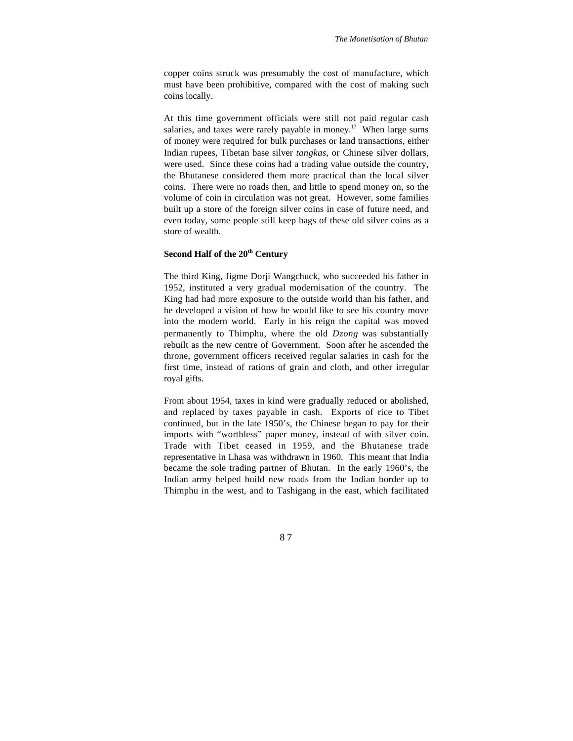copper coins struck was presumably the cost of manufacture, which must have been prohibitive, compared with the cost of making such coins locally.

At this time government officials were still not paid regular cash salaries, and taxes were rarely payable in money.<sup>17</sup> When large sums of money were required for bulk purchases or land transactions, either Indian rupees, Tibetan base silver *tangkas*, or Chinese silver dollars, were used. Since these coins had a trading value outside the country, the Bhutanese considered them more practical than the local silver coins. There were no roads then, and little to spend money on, so the volume of coin in circulation was not great. However, some families built up a store of the foreign silver coins in case of future need, and even today, some people still keep bags of these old silver coins as a store of wealth.

### **Second Half of the 20th Century**

The third King, Jigme Dorji Wangchuck, who succeeded his father in 1952, instituted a very gradual modernisation of the country. The King had had more exposure to the outside world than his father, and he developed a vision of how he would like to see his country move into the modern world. Early in his reign the capital was moved permanently to Thimphu, where the old *Dzong* was substantially rebuilt as the new centre of Government. Soon after he ascended the throne, government officers received regular salaries in cash for the first time, instead of rations of grain and cloth, and other irregular royal gifts.

From about 1954, taxes in kind were gradually reduced or abolished, and replaced by taxes payable in cash. Exports of rice to Tibet continued, but in the late 1950's, the Chinese began to pay for their imports with "worthless" paper money, instead of with silver coin. Trade with Tibet ceased in 1959, and the Bhutanese trade representative in Lhasa was withdrawn in 1960. This meant that India became the sole trading partner of Bhutan. In the early 1960's, the Indian army helped build new roads from the Indian border up to Thimphu in the west, and to Tashigang in the east, which facilitated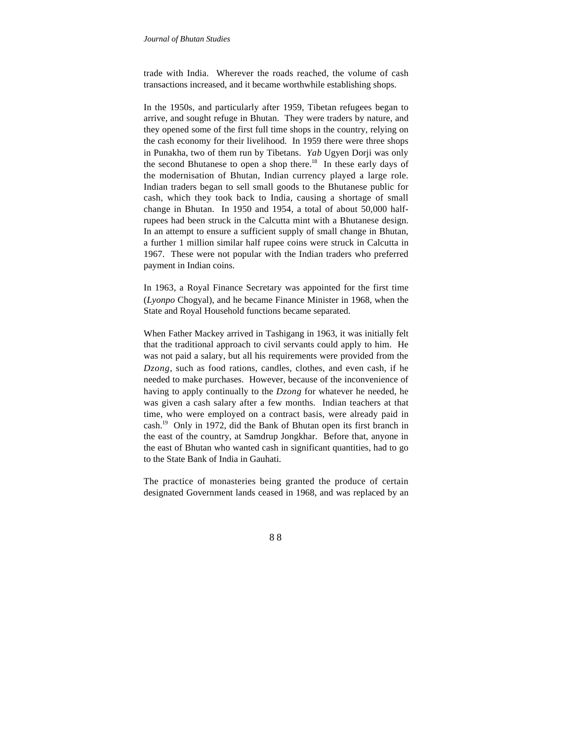trade with India. Wherever the roads reached, the volume of cash transactions increased, and it became worthwhile establishing shops.

In the 1950s, and particularly after 1959, Tibetan refugees began to arrive, and sought refuge in Bhutan. They were traders by nature, and they opened some of the first full time shops in the country, relying on the cash economy for their livelihood. In 1959 there were three shops in Punakha, two of them run by Tibetans. *Yab* Ugyen Dorji was only the second Bhutanese to open a shop there.<sup>18</sup> In these early days of the modernisation of Bhutan, Indian currency played a large role. Indian traders began to sell small goods to the Bhutanese public for cash, which they took back to India, causing a shortage of small change in Bhutan. In 1950 and 1954, a total of about 50,000 halfrupees had been struck in the Calcutta mint with a Bhutanese design. In an attempt to ensure a sufficient supply of small change in Bhutan, a further 1 million similar half rupee coins were struck in Calcutta in 1967. These were not popular with the Indian traders who preferred payment in Indian coins.

In 1963, a Royal Finance Secretary was appointed for the first time (*Lyonpo* Chogyal), and he became Finance Minister in 1968, when the State and Royal Household functions became separated.

When Father Mackey arrived in Tashigang in 1963, it was initially felt that the traditional approach to civil servants could apply to him. He was not paid a salary, but all his requirements were provided from the *Dzong*, such as food rations, candles, clothes, and even cash, if he needed to make purchases. However, because of the inconvenience of having to apply continually to the *Dzong* for whatever he needed, he was given a cash salary after a few months. Indian teachers at that time, who were employed on a contract basis, were already paid in cash.19 Only in 1972, did the Bank of Bhutan open its first branch in the east of the country, at Samdrup Jongkhar. Before that, anyone in the east of Bhutan who wanted cash in significant quantities, had to go to the State Bank of India in Gauhati.

The practice of monasteries being granted the produce of certain designated Government lands ceased in 1968, and was replaced by an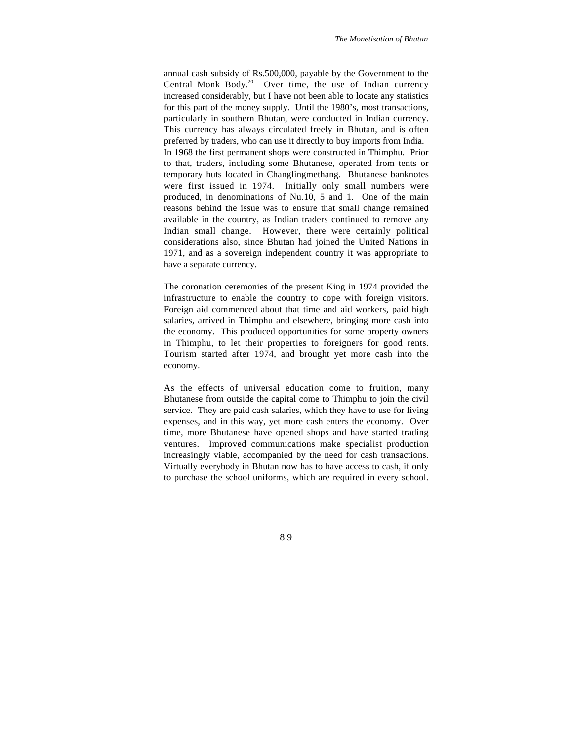annual cash subsidy of Rs.500,000, payable by the Government to the Central Monk Body.<sup>20</sup> Over time, the use of Indian currency increased considerably, but I have not been able to locate any statistics for this part of the money supply. Until the 1980's, most transactions, particularly in southern Bhutan, were conducted in Indian currency. This currency has always circulated freely in Bhutan, and is often preferred by traders, who can use it directly to buy imports from India. In 1968 the first permanent shops were constructed in Thimphu. Prior to that, traders, including some Bhutanese, operated from tents or temporary huts located in Changlingmethang. Bhutanese banknotes were first issued in 1974. Initially only small numbers were produced, in denominations of Nu.10, 5 and 1. One of the main reasons behind the issue was to ensure that small change remained available in the country, as Indian traders continued to remove any Indian small change. However, there were certainly political considerations also, since Bhutan had joined the United Nations in 1971, and as a sovereign independent country it was appropriate to have a separate currency.

The coronation ceremonies of the present King in 1974 provided the infrastructure to enable the country to cope with foreign visitors. Foreign aid commenced about that time and aid workers, paid high salaries, arrived in Thimphu and elsewhere, bringing more cash into the economy. This produced opportunities for some property owners in Thimphu, to let their properties to foreigners for good rents. Tourism started after 1974, and brought yet more cash into the economy.

As the effects of universal education come to fruition, many Bhutanese from outside the capital come to Thimphu to join the civil service. They are paid cash salaries, which they have to use for living expenses, and in this way, yet more cash enters the economy. Over time, more Bhutanese have opened shops and have started trading ventures. Improved communications make specialist production increasingly viable, accompanied by the need for cash transactions. Virtually everybody in Bhutan now has to have access to cash, if only to purchase the school uniforms, which are required in every school.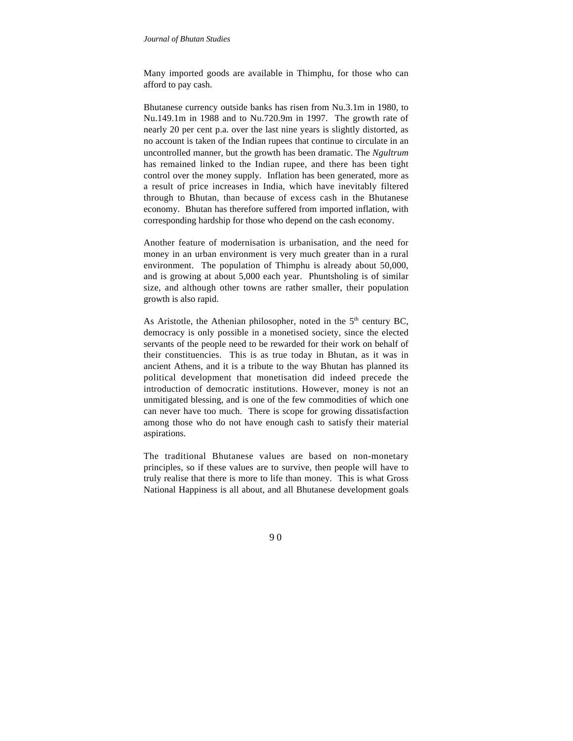#### *Journal of Bhutan Studies*

Many imported goods are available in Thimphu, for those who can afford to pay cash.

Bhutanese currency outside banks has risen from Nu.3.1m in 1980, to Nu.149.1m in 1988 and to Nu.720.9m in 1997. The growth rate of nearly 20 per cent p.a. over the last nine years is slightly distorted, as no account is taken of the Indian rupees that continue to circulate in an uncontrolled manner, but the growth has been dramatic. The *Ngultrum* has remained linked to the Indian rupee, and there has been tight control over the money supply. Inflation has been generated, more as a result of price increases in India, which have inevitably filtered through to Bhutan, than because of excess cash in the Bhutanese economy. Bhutan has therefore suffered from imported inflation, with corresponding hardship for those who depend on the cash economy.

Another feature of modernisation is urbanisation, and the need for money in an urban environment is very much greater than in a rural environment. The population of Thimphu is already about 50,000, and is growing at about 5,000 each year. Phuntsholing is of similar size, and although other towns are rather smaller, their population growth is also rapid.

As Aristotle, the Athenian philosopher, noted in the  $5<sup>th</sup>$  century BC. democracy is only possible in a monetised society, since the elected servants of the people need to be rewarded for their work on behalf of their constituencies. This is as true today in Bhutan, as it was in ancient Athens, and it is a tribute to the way Bhutan has planned its political development that monetisation did indeed precede the introduction of democratic institutions. However, money is not an unmitigated blessing, and is one of the few commodities of which one can never have too much. There is scope for growing dissatisfaction among those who do not have enough cash to satisfy their material aspirations.

The traditional Bhutanese values are based on non-monetary principles, so if these values are to survive, then people will have to truly realise that there is more to life than money. This is what Gross National Happiness is all about, and all Bhutanese development goals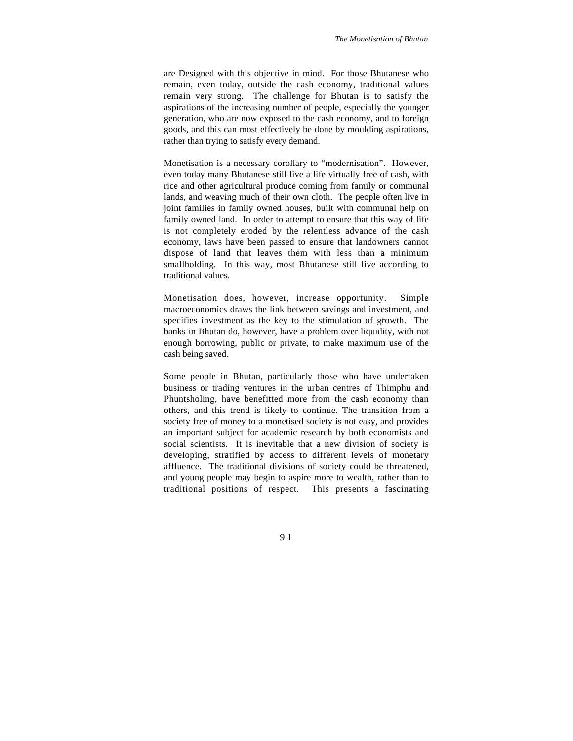are Designed with this objective in mind. For those Bhutanese who remain, even today, outside the cash economy, traditional values remain very strong. The challenge for Bhutan is to satisfy the aspirations of the increasing number of people, especially the younger generation, who are now exposed to the cash economy, and to foreign goods, and this can most effectively be done by moulding aspirations, rather than trying to satisfy every demand.

Monetisation is a necessary corollary to "modernisation". However, even today many Bhutanese still live a life virtually free of cash, with rice and other agricultural produce coming from family or communal lands, and weaving much of their own cloth. The people often live in joint families in family owned houses, built with communal help on family owned land. In order to attempt to ensure that this way of life is not completely eroded by the relentless advance of the cash economy, laws have been passed to ensure that landowners cannot dispose of land that leaves them with less than a minimum smallholding. In this way, most Bhutanese still live according to traditional values.

Monetisation does, however, increase opportunity. Simple macroeconomics draws the link between savings and investment, and specifies investment as the key to the stimulation of growth. The banks in Bhutan do, however, have a problem over liquidity, with not enough borrowing, public or private, to make maximum use of the cash being saved.

Some people in Bhutan, particularly those who have undertaken business or trading ventures in the urban centres of Thimphu and Phuntsholing, have benefitted more from the cash economy than others, and this trend is likely to continue. The transition from a society free of money to a monetised society is not easy, and provides an important subject for academic research by both economists and social scientists. It is inevitable that a new division of society is developing, stratified by access to different levels of monetary affluence. The traditional divisions of society could be threatened, and young people may begin to aspire more to wealth, rather than to traditional positions of respect. This presents a fascinating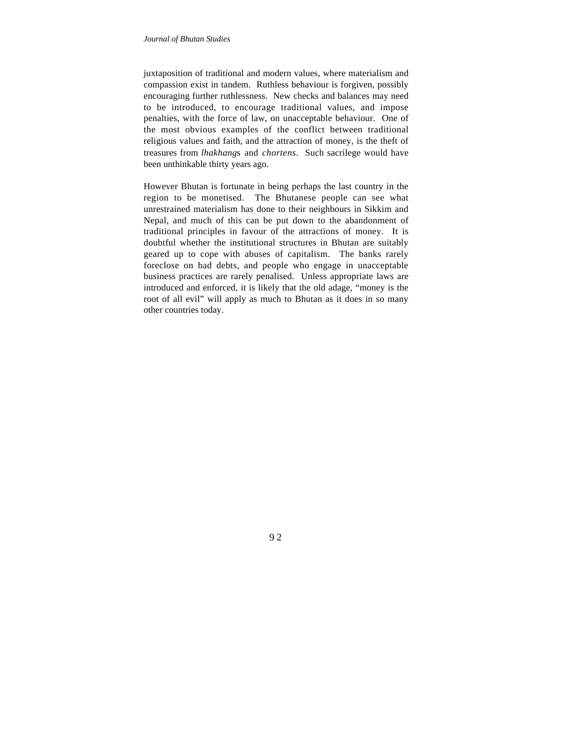juxtaposition of traditional and modern values, where materialism and compassion exist in tandem. Ruthless behaviour is forgiven, possibly encouraging further ruthlessness. New checks and balances may need to be introduced, to encourage traditional values, and impose penalties, with the force of law, on unacceptable behaviour. One of the most obvious examples of the conflict between traditional religious values and faith, and the attraction of money, is the theft of treasures from *lhakhang*s and *chortens*. Such sacrilege would have been unthinkable thirty years ago.

However Bhutan is fortunate in being perhaps the last country in the region to be monetised. The Bhutanese people can see what unrestrained materialism has done to their neighbours in Sikkim and Nepal, and much of this can be put down to the abandonment of traditional principles in favour of the attractions of money. It is doubtful whether the institutional structures in Bhutan are suitably geared up to cope with abuses of capitalism. The banks rarely foreclose on bad debts, and people who engage in unacceptable business practices are rarely penalised. Unless appropriate laws are introduced and enforced, it is likely that the old adage, "money is the root of all evil" will apply as much to Bhutan as it does in so many other countries today.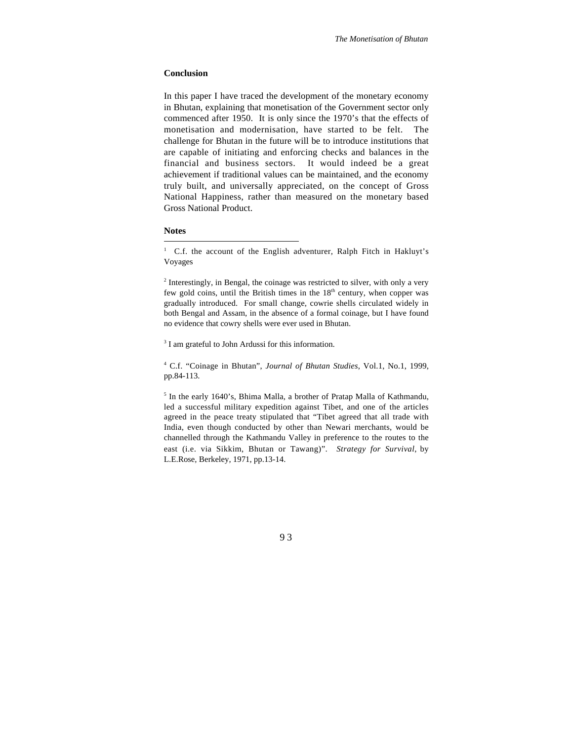#### **Conclusion**

In this paper I have traced the development of the monetary economy in Bhutan, explaining that monetisation of the Government sector only commenced after 1950. It is only since the 1970's that the effects of monetisation and modernisation, have started to be felt. The challenge for Bhutan in the future will be to introduce institutions that are capable of initiating and enforcing checks and balances in the financial and business sectors. It would indeed be a great achievement if traditional values can be maintained, and the economy truly built, and universally appreciated, on the concept of Gross National Happiness, rather than measured on the monetary based Gross National Product.

### **Notes**

l

<sup>1</sup> C.f. the account of the English adventurer, Ralph Fitch in Hakluyt's Voyages

 $2$  Interestingly, in Bengal, the coinage was restricted to silver, with only a very few gold coins, until the British times in the  $18<sup>th</sup>$  century, when copper was gradually introduced. For small change, cowrie shells circulated widely in both Bengal and Assam, in the absence of a formal coinage, but I have found no evidence that cowry shells were ever used in Bhutan.

<sup>3</sup> I am grateful to John Ardussi for this information.

<sup>4</sup> C.f. "Coinage in Bhutan", *Journal of Bhutan Studies*, Vol.1, No.1, 1999, pp.84-113.

<sup>5</sup> In the early 1640's, Bhima Malla, a brother of Pratap Malla of Kathmandu, led a successful military expedition against Tibet, and one of the articles agreed in the peace treaty stipulated that "Tibet agreed that all trade with India, even though conducted by other than Newari merchants, would be channelled through the Kathmandu Valley in preference to the routes to the east (i.e. via Sikkim, Bhutan or Tawang)". *Strategy for Survival*, by L.E.Rose, Berkeley, 1971, pp.13-14.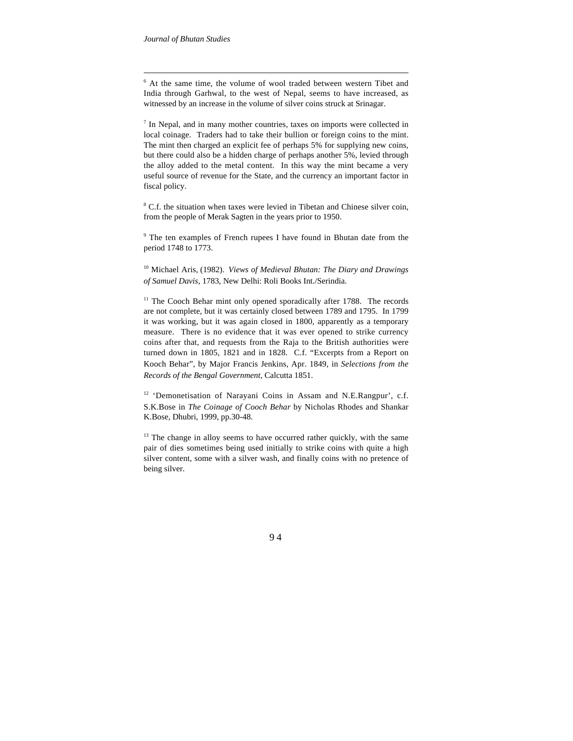l

<sup>6</sup> At the same time, the volume of wool traded between western Tibet and India through Garhwal, to the west of Nepal, seems to have increased, as witnessed by an increase in the volume of silver coins struck at Srinagar.

<sup>7</sup> In Nepal, and in many mother countries, taxes on imports were collected in local coinage. Traders had to take their bullion or foreign coins to the mint. The mint then charged an explicit fee of perhaps 5% for supplying new coins, but there could also be a hidden charge of perhaps another 5%, levied through the alloy added to the metal content. In this way the mint became a very useful source of revenue for the State, and the currency an important factor in fiscal policy.

<sup>8</sup> C.f. the situation when taxes were levied in Tibetan and Chinese silver coin, from the people of Merak Sagten in the years prior to 1950.

<sup>9</sup> The ten examples of French rupees I have found in Bhutan date from the period 1748 to 1773.

<sup>10</sup> Michael Aris, (1982). *Views of Medieval Bhutan: The Diary and Drawings of Samuel Davis*, 1783, New Delhi: Roli Books Int./Serindia.

 $11$  The Cooch Behar mint only opened sporadically after 1788. The records are not complete, but it was certainly closed between 1789 and 1795. In 1799 it was working, but it was again closed in 1800, apparently as a temporary measure. There is no evidence that it was ever opened to strike currency coins after that, and requests from the Raja to the British authorities were turned down in 1805, 1821 and in 1828. C.f. "Excerpts from a Report on Kooch Behar", by Major Francis Jenkins, Apr. 1849, in *Selections from the Records of the Bengal Government*, Calcutta 1851.

<sup>12</sup> 'Demonetisation of Narayani Coins in Assam and N.E.Rangpur', c.f. S.K.Bose in *The Coinage of Cooch Behar* by Nicholas Rhodes and Shankar K.Bose, Dhubri, 1999, pp.30-48.

 $13$  The change in alloy seems to have occurred rather quickly, with the same pair of dies sometimes being used initially to strike coins with quite a high silver content, some with a silver wash, and finally coins with no pretence of being silver.